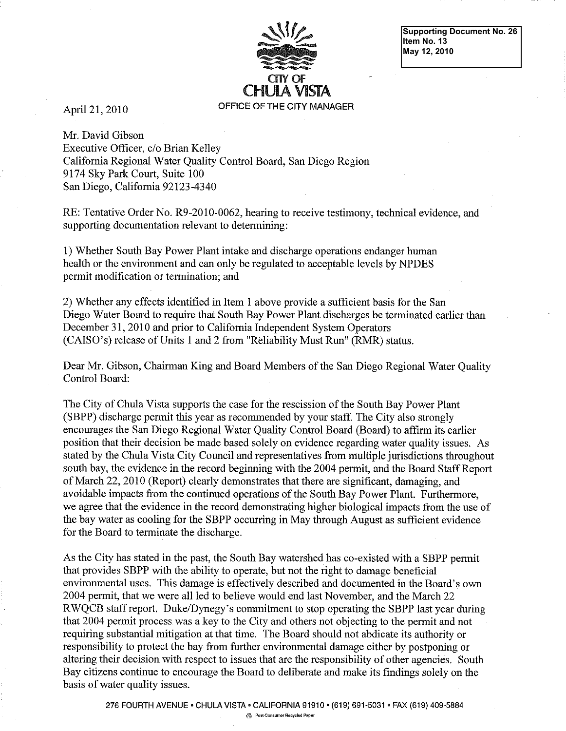

**Supporting Document No. 26 Item No. 13 May 12, 2010** 

April 21, 2010

Mr. David Gibson Executive Officer, c/o Brian Kelley California Regional Water Quality Control Board, San Diego Region 9174 Sky Park Court, Suite 100 San Diego, California 92123-4340

RE: Tentative Order No. R9-2010-0062, hearing to receive testimony, technical evidence, and supporting documentation relevant to determining:

1) Whether South Bay Power Plant intake and discharge operations endanger human health or the environment and can only be regulated to acceptable levels by NPDES permit modification or termination; and

2) Whether any effects identified in Item 1 above provide a sufficient basis for the San Diego Water Board to require that South Bay Power Plant discharges be terminated earlier than December 31, 2010 and prior to California Independent System Operators (CAISO's) release of Units 1 and 2 from "Reliability Must Run" (RMR) status.

Dear Mr. Gibson, Chairman King and Board Members of the San Diego Regional Water Quality Control Board:

The City of Chula Vista supports the case for the rescission of the South Bay Power Plant (SBPP) discharge permit this year as recommended by your staff. The City also strongly encourages the San Diego Regional Water Quality Control Board (Board) to affirm its earlier position that their decision be made based solely on evidence regarding water quality issues. As stated by the Chula Vista City Council and representatives from multiple jurisdictions throughout south bay, the evidence in the record beginning with the 2004 permit, and the Board Staff Report of March 22, 2010 (Report) clearly demonstrates that there are significant, damaging, and avoidable impacts from the continued operations of the South Bay Power Plant. Furthermore, we agree that the evidence in the record demonstrating higher biological impacts from the use of the bay water as cooling for the SBPP occurring in May through August as sufficient evidence for the Board to terminate the discharge.

As the City has stated in the past, the South Bay watershed has co-existed with a SBPP permit that provides SBPP with the ability to operate, but not the right to damage beneficial environmental uses. This damage is effectively described and documented in the Board's own 2004 permit, that we were all led to believe would end last November, and the March 22 RWQCB staff report. Duke/Dynegy's commitment to stop operating the SBPP last year during that 2004 permit process was a key to the City and others not objecting to the permit and not requiring substantial mitigation at that time. The Board should not abdicate its authority or responsibility to protect the bay from further environmental damage either by postponing or altering their decision with respect to issues that are the responsibility of other agencies. South Bay citizens continue to encourage the Board to deliberate and make its findings solely on the basis of water quality issues.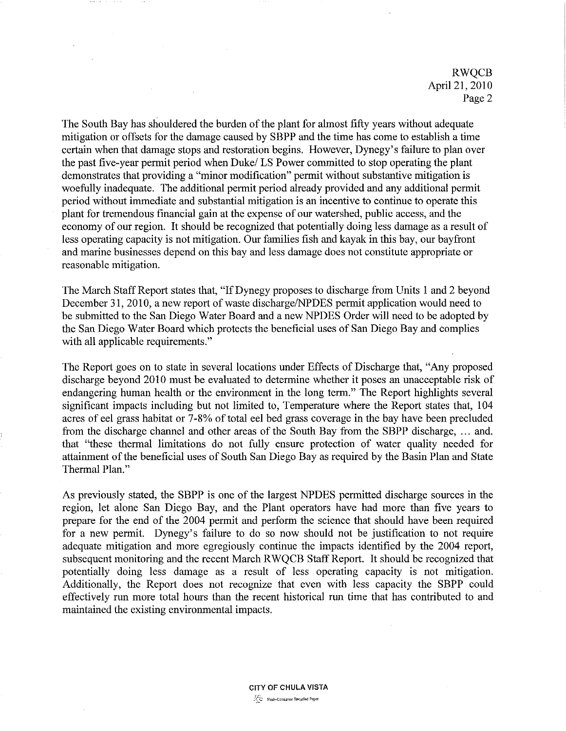RWQCB April 21, 2010 Page 2

The South Bay has shouldered the burden of the plant for almost fifty years without adequate mitigation or offsets for the damage caused by SBPP and the time has come to establish a time certain when that damage stops and restoration begins. However, Dynegy's failure to plan over the past five-year permit period when Duke/LS Power committed to stop operating the plant demonstrates that providing a "minor modification" permit without substantive mitigation is woefully inadequate. The additional permit period already provided and any additional permit period without immediate and substantial mitigation is an incentive to continue to operate this plant for tremendous financial gain at the expense of our watershed, public access, and the economy of our region. It should be recognized that potentially doing less damage as a result of less operating capacity is not mitigation. Our families fish and kayak in this bay, our bayfront and marine businesses depend on this bay and less damage does not constitute appropriate or reasonable mitigation.

The March Staff Report states that, "If Dynegy proposes to discharge from Units 1 and 2 beyond December 31, 2010, a new report of waste discharge/NPDES permit application would need to be submitted to the San Diego Water Board and a new NPDES Order will need to be adopted by the San Diego Water Board which protects the beneficial uses of San Diego Bay and complies with all applicable requirements."

The Report goes on to state in several locations under Effects of Discharge that, "Any proposed discharge beyond 2010 must be evaluated to determine whether it poses an unacceptable risk of endangering human health or the environment in the long term." The Report highlights several significant impacts including but not limited to, Temperature where the Report states that, 104 acres of eel grass habitat or 7-8% of total eel bed grass coverage in the bay have been precluded from the discharge channel and other areas of the South Bay from the SBPP discharge, ... and. that "these thermal limitations do not fully ensure protection of water quality needed for attainment of the beneficial uses of South San Diego Bay as required by the Basin Plan and State Thermal Plan."

As previously stated, the SBPP is one of the largest NPDES permitted discharge sources in the region, let alone San Diego Bay, and the Plant operators have had more than five years to prepare for the end of the 2004 permit and perform the science that should have been required for a new permit. Dynegy's failure to do so now should not be justification to not require adequate mitigation and more egregiously continue the impacts identified by the 2004 report, subsequent monitoring and the recent March RWQCB Staff Report. It should be recognized that potentially doing less damage as a result of less operating capacity is not mitigation. Additionally, the Report does not recognize that even with less capacity the SBPP could effectively run more total hours than the recent historical run time that has contributed to and maintained the existing environmental impacts.